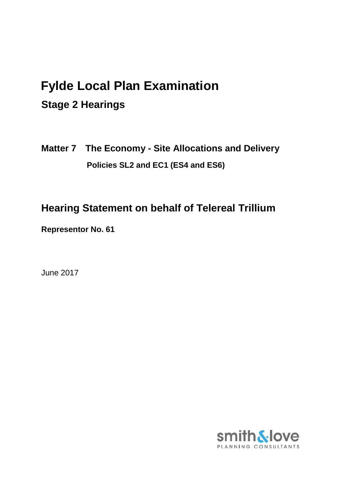# **Fylde Local Plan Examination**

# **Stage 2 Hearings**

**Matter 7 The Economy - Site Allocations and Delivery Policies SL2 and EC1 (ES4 and ES6)**

# **Hearing Statement on behalf of Telereal Trillium**

**Representor No. 61** 

June 2017

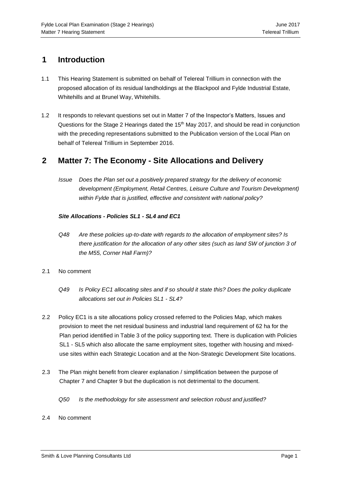## **1 Introduction**

- 1.1 This Hearing Statement is submitted on behalf of Telereal Trillium in connection with the proposed allocation of its residual landholdings at the Blackpool and Fylde Industrial Estate, Whitehills and at Brunel Way, Whitehills.
- 1.2 It responds to relevant questions set out in Matter 7 of the Inspector's Matters, Issues and Questions for the Stage 2 Hearings dated the 15<sup>th</sup> May 2017, and should be read in conjunction with the preceding representations submitted to the Publication version of the Local Plan on behalf of Telereal Trillium in September 2016.

### **2 Matter 7: The Economy - Site Allocations and Delivery**

*Issue Does the Plan set out a positively prepared strategy for the delivery of economic development (Employment, Retail Centres, Leisure Culture and Tourism Development) within Fylde that is justified, effective and consistent with national policy?* 

#### *Site Allocations - Policies SL1 - SL4 and EC1*

- *Q48 Are these policies up-to-date with regards to the allocation of employment sites? Is there justification for the allocation of any other sites (such as land SW of junction 3 of the M55, Corner Hall Farm)?*
- 2.1 No comment
	- *Q49 Is Policy EC1 allocating sites and if so should it state this? Does the policy duplicate allocations set out in Policies SL1 - SL4?*
- 2.2 Policy EC1 is a site allocations policy crossed referred to the Policies Map, which makes provision to meet the net residual business and industrial land requirement of 62 ha for the Plan period identified in Table 3 of the policy supporting text. There is duplication with Policies SL1 - SL5 which also allocate the same employment sites, together with housing and mixeduse sites within each Strategic Location and at the Non-Strategic Development Site locations.
- 2.3 The Plan might benefit from clearer explanation / simplification between the purpose of Chapter 7 and Chapter 9 but the duplication is not detrimental to the document.
	- *Q50 Is the methodology for site assessment and selection robust and justified?*
- 2.4 No comment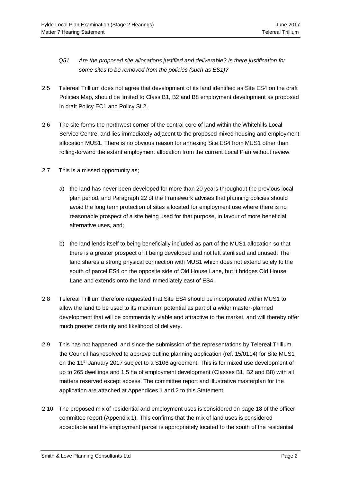- *Q51 Are the proposed site allocations justified and deliverable? Is there justification for some sites to be removed from the policies (such as ES1)?*
- 2.5 Telereal Trillium does not agree that development of its land identified as Site ES4 on the draft Policies Map, should be limited to Class B1, B2 and B8 employment development as proposed in draft Policy EC1 and Policy SL2.
- 2.6 The site forms the northwest corner of the central core of land within the Whitehills Local Service Centre, and lies immediately adjacent to the proposed mixed housing and employment allocation MUS1. There is no obvious reason for annexing Site ES4 from MUS1 other than rolling-forward the extant employment allocation from the current Local Plan without review.
- 2.7 This is a missed opportunity as;
	- a) the land has never been developed for more than 20 years throughout the previous local plan period, and Paragraph 22 of the Framework advises that planning policies should avoid the long term protection of sites allocated for employment use where there is no reasonable prospect of a site being used for that purpose, in favour of more beneficial alternative uses, and;
	- b) the land lends itself to being beneficially included as part of the MUS1 allocation so that there is a greater prospect of it being developed and not left sterilised and unused. The land shares a strong physical connection with MUS1 which does not extend solely to the south of parcel ES4 on the opposite side of Old House Lane, but it bridges Old House Lane and extends onto the land immediately east of ES4.
- 2.8 Telereal Trillium therefore requested that Site ES4 should be incorporated within MUS1 to allow the land to be used to its maximum potential as part of a wider master-planned development that will be commercially viable and attractive to the market, and will thereby offer much greater certainty and likelihood of delivery.
- 2.9 This has not happened, and since the submission of the representations by Telereal Trillium, the Council has resolved to approve outline planning application (ref. 15/0114) for Site MUS1 on the 11<sup>th</sup> January 2017 subject to a S106 agreement. This is for mixed use development of up to 265 dwellings and 1.5 ha of employment development (Classes B1, B2 and B8) with all matters reserved except access. The committee report and illustrative masterplan for the application are attached at Appendices 1 and 2 to this Statement.
- 2.10 The proposed mix of residential and employment uses is considered on page 18 of the officer committee report (Appendix 1). This confirms that the mix of land uses is considered acceptable and the employment parcel is appropriately located to the south of the residential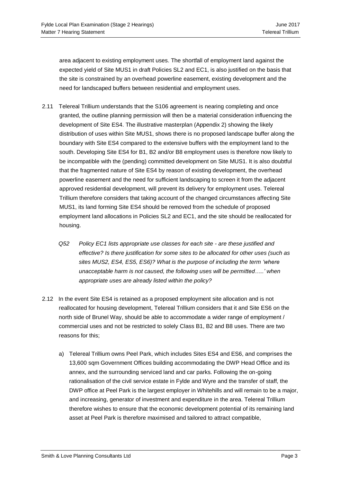area adjacent to existing employment uses. The shortfall of employment land against the expected yield of Site MUS1 in draft Policies SL2 and EC1, is also justified on the basis that the site is constrained by an overhead powerline easement, existing development and the need for landscaped buffers between residential and employment uses.

- 2.11 Telereal Trillium understands that the S106 agreement is nearing completing and once granted, the outline planning permission will then be a material consideration influencing the development of Site ES4. The illustrative masterplan (Appendix 2) showing the likely distribution of uses within Site MUS1, shows there is no proposed landscape buffer along the boundary with Site ES4 compared to the extensive buffers with the employment land to the south. Developing Site ES4 for B1, B2 and/or B8 employment uses is therefore now likely to be incompatible with the (pending) committed development on Site MUS1. It is also doubtful that the fragmented nature of Site ES4 by reason of existing development, the overhead powerline easement and the need for sufficient landscaping to screen it from the adjacent approved residential development, will prevent its delivery for employment uses. Telereal Trillium therefore considers that taking account of the changed circumstances affecting Site MUS1, its land forming Site ES4 should be removed from the schedule of proposed employment land allocations in Policies SL2 and EC1, and the site should be reallocated for housing.
	- *Q52 Policy EC1 lists appropriate use classes for each site - are these justified and effective? Is there justification for some sites to be allocated for other uses (such as sites MUS2, ES4, ES5, ES6)? What is the purpose of including the term 'where unacceptable harm is not caused, the following uses will be permitted…..' when appropriate uses are already listed within the policy?*
- 2.12 In the event Site ES4 is retained as a proposed employment site allocation and is not reallocated for housing development, Telereal Trillium considers that it and Site ES6 on the north side of Brunel Way, should be able to accommodate a wider range of employment / commercial uses and not be restricted to solely Class B1, B2 and B8 uses. There are two reasons for this;
	- a) Telereal Trillium owns Peel Park, which includes Sites ES4 and ES6, and comprises the 13,600 sqm Government Offices building accommodating the DWP Head Office and its annex, and the surrounding serviced land and car parks. Following the on-going rationalisation of the civil service estate in Fylde and Wyre and the transfer of staff, the DWP office at Peel Park is the largest employer in Whitehills and will remain to be a major, and increasing, generator of investment and expenditure in the area. Telereal Trillium therefore wishes to ensure that the economic development potential of its remaining land asset at Peel Park is therefore maximised and tailored to attract compatible,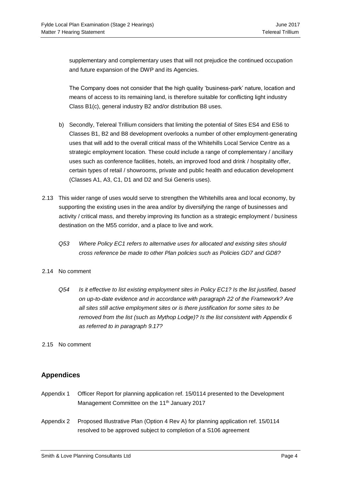supplementary and complementary uses that will not prejudice the continued occupation and future expansion of the DWP and its Agencies.

The Company does not consider that the high quality 'business-park' nature, location and means of access to its remaining land, is therefore suitable for conflicting light industry Class B1(c), general industry B2 and/or distribution B8 uses.

- b) Secondly, Telereal Trillium considers that limiting the potential of Sites ES4 and ES6 to Classes B1, B2 and B8 development overlooks a number of other employment-generating uses that will add to the overall critical mass of the Whitehills Local Service Centre as a strategic employment location. These could include a range of complementary / ancillary uses such as conference facilities, hotels, an improved food and drink / hospitality offer, certain types of retail / showrooms, private and public health and education development (Classes A1, A3, C1, D1 and D2 and Sui Generis uses).
- 2.13 This wider range of uses would serve to strengthen the Whitehills area and local economy, by supporting the existing uses in the area and/or by diversifying the range of businesses and activity / critical mass, and thereby improving its function as a strategic employment / business destination on the M55 corridor, and a place to live and work.
	- *Q53 Where Policy EC1 refers to alternative uses for allocated and existing sites should cross reference be made to other Plan policies such as Policies GD7 and GD8?*

#### 2.14 No comment

- *Q54 Is it effective to list existing employment sites in Policy EC1? Is the list justified, based on up-to-date evidence and in accordance with paragraph 22 of the Framework? Are all sites still active employment sites or is there justification for some sites to be removed from the list (such as Mythop Lodge)? Is the list consistent with Appendix 6 as referred to in paragraph 9.17?*
- 2.15 No comment

### **Appendices**

- Appendix 1 Officer Report for planning application ref. 15/0114 presented to the Development Management Committee on the 11<sup>th</sup> January 2017
- Appendix 2 Proposed Illustrative Plan (Option 4 Rev A) for planning application ref. 15/0114 resolved to be approved subject to completion of a S106 agreement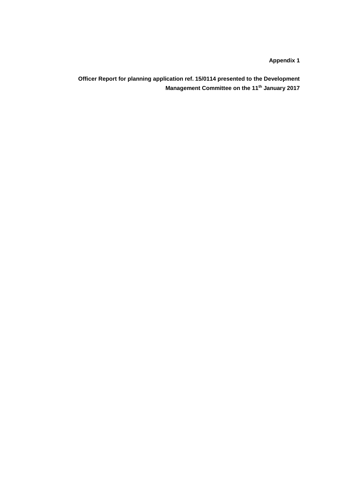**Appendix 1**

**Officer Report for planning application ref. 15/0114 presented to the Development Management Committee on the 11th January 2017**